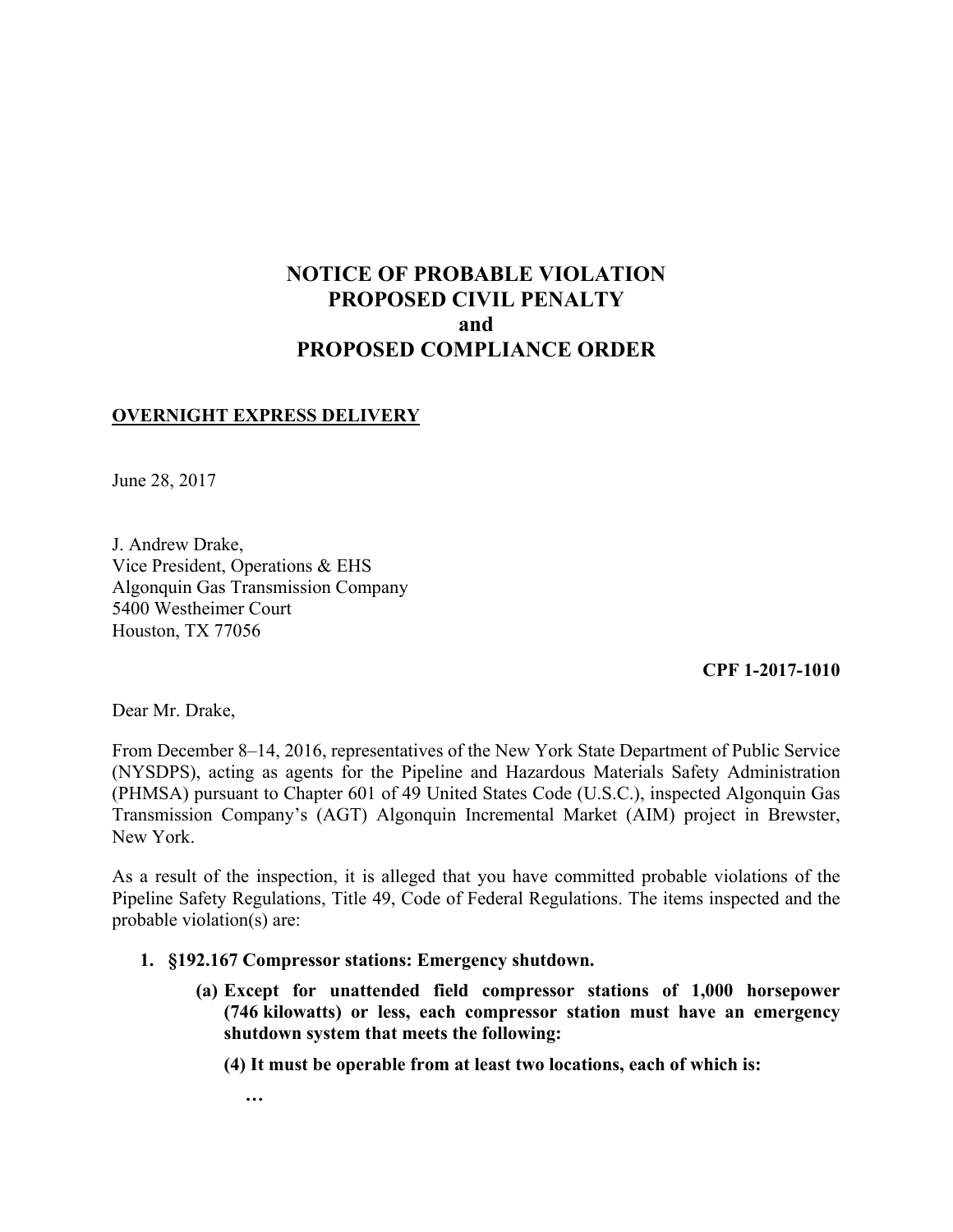# **NOTICE OF PROBABLE VIOLATION PROPOSED CIVIL PENALTY and PROPOSED COMPLIANCE ORDER**

# **OVERNIGHT EXPRESS DELIVERY**

June 28, 2017

J. Andrew Drake, Vice President, Operations & EHS Algonquin Gas Transmission Company 5400 Westheimer Court Houston, TX 77056

## **CPF 1-2017-1010**

Dear Mr. Drake,

From December 8–14, 2016, representatives of the New York State Department of Public Service (NYSDPS), acting as agents for the Pipeline and Hazardous Materials Safety Administration (PHMSA) pursuant to Chapter 601 of 49 United States Code (U.S.C.), inspected Algonquin Gas Transmission Company's (AGT) Algonquin Incremental Market (AIM) project in Brewster, New York.

As a result of the inspection, it is alleged that you have committed probable violations of the Pipeline Safety Regulations, Title 49, Code of Federal Regulations. The items inspected and the probable violation(s) are:

#### **1. §192.167 Compressor stations: Emergency shutdown.**

**(a) Except for unattended field compressor stations of 1,000 horsepower (746 kilowatts) or less, each compressor station must have an emergency shutdown system that meets the following:** 

**(4) It must be operable from at least two locations, each of which is:** 

**…**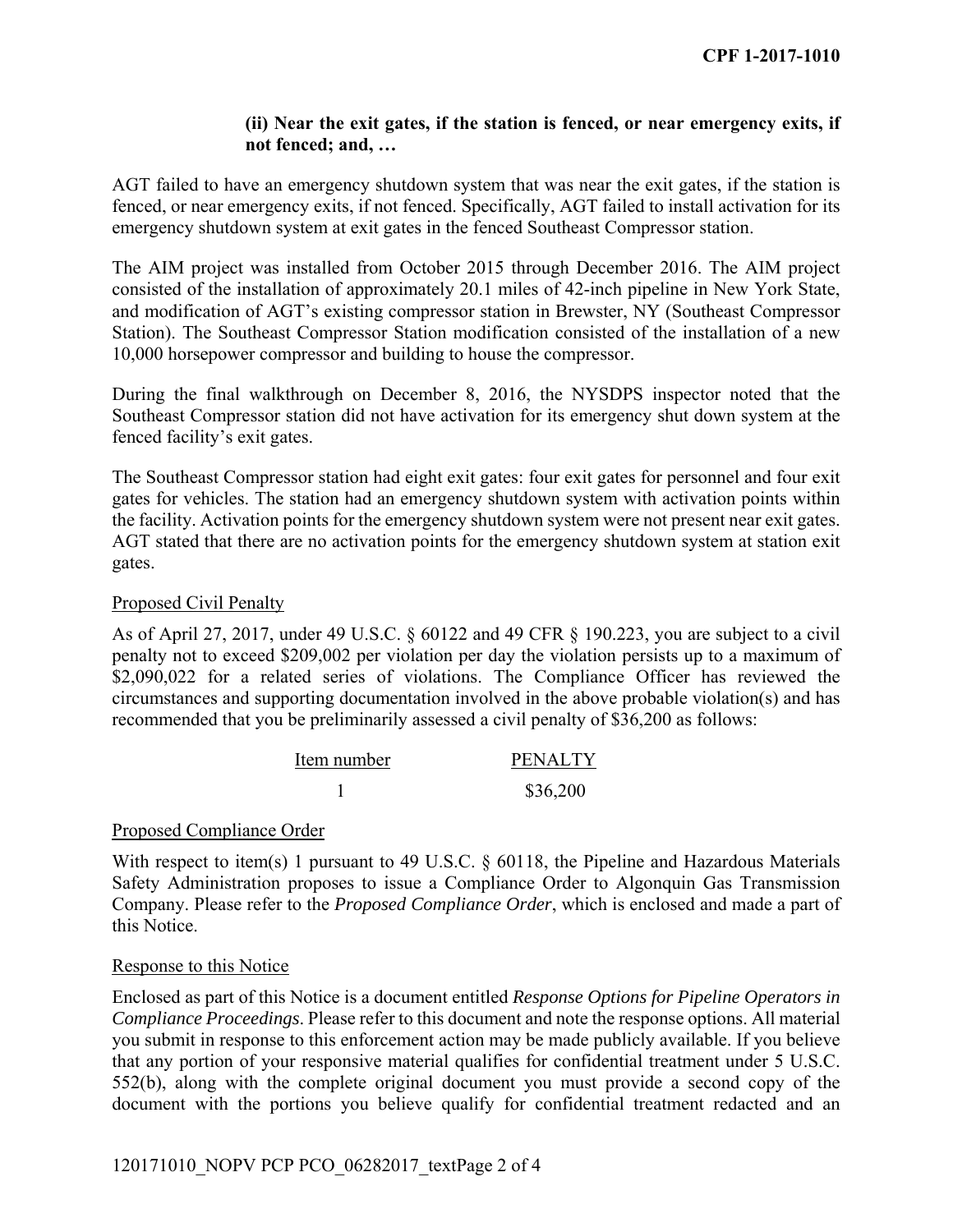## **(ii) Near the exit gates, if the station is fenced, or near emergency exits, if not fenced; and, …**

AGT failed to have an emergency shutdown system that was near the exit gates, if the station is fenced, or near emergency exits, if not fenced. Specifically, AGT failed to install activation for its emergency shutdown system at exit gates in the fenced Southeast Compressor station.

The AIM project was installed from October 2015 through December 2016. The AIM project consisted of the installation of approximately 20.1 miles of 42-inch pipeline in New York State, and modification of AGT's existing compressor station in Brewster, NY (Southeast Compressor Station). The Southeast Compressor Station modification consisted of the installation of a new 10,000 horsepower compressor and building to house the compressor.

During the final walkthrough on December 8, 2016, the NYSDPS inspector noted that the Southeast Compressor station did not have activation for its emergency shut down system at the fenced facility's exit gates.

The Southeast Compressor station had eight exit gates: four exit gates for personnel and four exit gates for vehicles. The station had an emergency shutdown system with activation points within the facility. Activation points for the emergency shutdown system were not present near exit gates. AGT stated that there are no activation points for the emergency shutdown system at station exit gates.

## Proposed Civil Penalty

As of April 27, 2017, under 49 U.S.C. § 60122 and 49 CFR § 190.223, you are subject to a civil penalty not to exceed \$209,002 per violation per day the violation persists up to a maximum of \$2,090,022 for a related series of violations. The Compliance Officer has reviewed the circumstances and supporting documentation involved in the above probable violation(s) and has recommended that you be preliminarily assessed a civil penalty of \$36,200 as follows:

| Item number | <b>PENALTY</b> |
|-------------|----------------|
|             | \$36,200       |

#### Proposed Compliance Order

With respect to item(s) 1 pursuant to 49 U.S.C. § 60118, the Pipeline and Hazardous Materials Safety Administration proposes to issue a Compliance Order to Algonquin Gas Transmission Company. Please refer to the *Proposed Compliance Order*, which is enclosed and made a part of this Notice.

#### Response to this Notice

Enclosed as part of this Notice is a document entitled *Response Options for Pipeline Operators in Compliance Proceedings*. Please refer to this document and note the response options. All material you submit in response to this enforcement action may be made publicly available. If you believe that any portion of your responsive material qualifies for confidential treatment under 5 U.S.C. 552(b), along with the complete original document you must provide a second copy of the document with the portions you believe qualify for confidential treatment redacted and an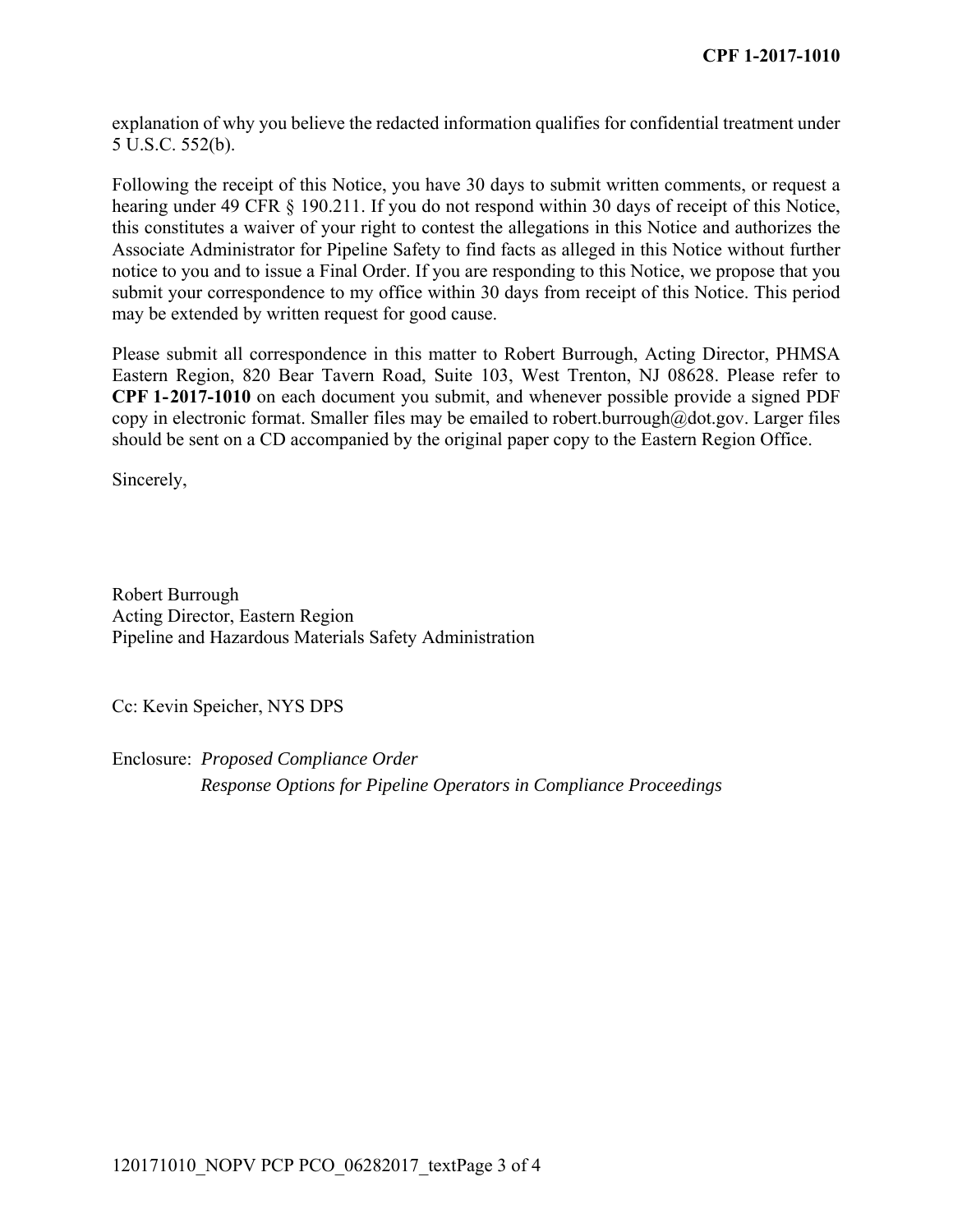explanation of why you believe the redacted information qualifies for confidential treatment under 5 U.S.C. 552(b).

Following the receipt of this Notice, you have 30 days to submit written comments, or request a hearing under 49 CFR § 190.211. If you do not respond within 30 days of receipt of this Notice, this constitutes a waiver of your right to contest the allegations in this Notice and authorizes the Associate Administrator for Pipeline Safety to find facts as alleged in this Notice without further notice to you and to issue a Final Order. If you are responding to this Notice, we propose that you submit your correspondence to my office within 30 days from receipt of this Notice. This period may be extended by written request for good cause.

Please submit all correspondence in this matter to Robert Burrough, Acting Director, PHMSA Eastern Region, 820 Bear Tavern Road, Suite 103, West Trenton, NJ 08628. Please refer to **CPF 1-2017-1010** on each document you submit, and whenever possible provide a signed PDF copy in electronic format. Smaller files may be emailed to robert.burrough@dot.gov. Larger files should be sent on a CD accompanied by the original paper copy to the Eastern Region Office.

Sincerely,

Robert Burrough Acting Director, Eastern Region Pipeline and Hazardous Materials Safety Administration

Cc: Kevin Speicher, NYS DPS

Enclosure: *Proposed Compliance Order Response Options for Pipeline Operators in Compliance Proceedings*